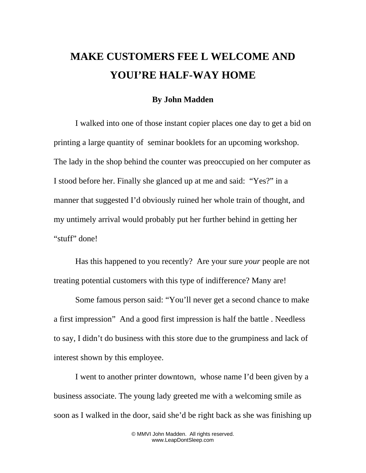## **MAKE CUSTOMERS FEE L WELCOME AND YOUI'RE HALF-WAY HOME**

## **By John Madden**

I walked into one of those instant copier places one day to get a bid on printing a large quantity of seminar booklets for an upcoming workshop. The lady in the shop behind the counter was preoccupied on her computer as I stood before her. Finally she glanced up at me and said: "Yes?" in a manner that suggested I'd obviously ruined her whole train of thought, and my untimely arrival would probably put her further behind in getting her "stuff" done!

Has this happened to you recently? Are your sure *your* people are not treating potential customers with this type of indifference? Many are!

Some famous person said: "You'll never get a second chance to make a first impression" And a good first impression is half the battle . Needless to say, I didn't do business with this store due to the grumpiness and lack of interest shown by this employee.

I went to another printer downtown, whose name I'd been given by a business associate. The young lady greeted me with a welcoming smile as soon as I walked in the door, said she'd be right back as she was finishing up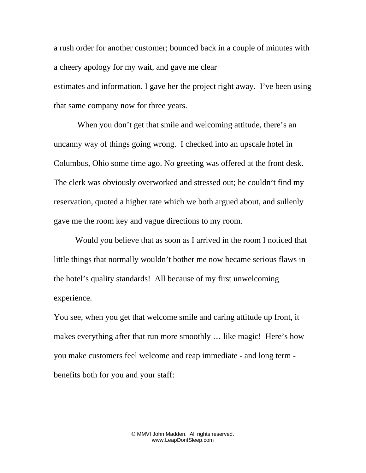a rush order for another customer; bounced back in a couple of minutes with a cheery apology for my wait, and gave me clear estimates and information. I gave her the project right away. I've been using that same company now for three years.

When you don't get that smile and welcoming attitude, there's an uncanny way of things going wrong. I checked into an upscale hotel in Columbus, Ohio some time ago. No greeting was offered at the front desk. The clerk was obviously overworked and stressed out; he couldn't find my reservation, quoted a higher rate which we both argued about, and sullenly gave me the room key and vague directions to my room.

Would you believe that as soon as I arrived in the room I noticed that little things that normally wouldn't bother me now became serious flaws in the hotel's quality standards! All because of my first unwelcoming experience.

You see, when you get that welcome smile and caring attitude up front, it makes everything after that run more smoothly … like magic! Here's how you make customers feel welcome and reap immediate - and long term benefits both for you and your staff: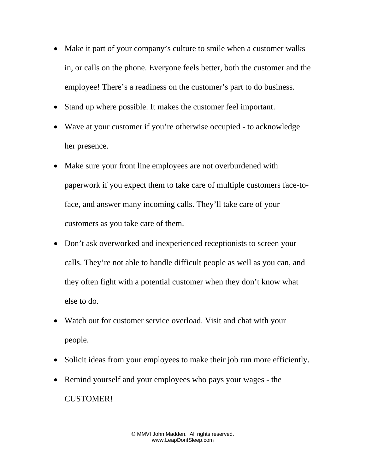- Make it part of your company's culture to smile when a customer walks in, or calls on the phone. Everyone feels better, both the customer and the employee! There's a readiness on the customer's part to do business.
- Stand up where possible. It makes the customer feel important.
- Wave at your customer if you're otherwise occupied to acknowledge her presence.
- Make sure your front line employees are not overburdened with paperwork if you expect them to take care of multiple customers face-toface, and answer many incoming calls. They'll take care of your customers as you take care of them.
- Don't ask overworked and inexperienced receptionists to screen your calls. They're not able to handle difficult people as well as you can, and they often fight with a potential customer when they don't know what else to do.
- Watch out for customer service overload. Visit and chat with your people.
- Solicit ideas from your employees to make their job run more efficiently.
- Remind yourself and your employees who pays your wages the CUSTOMER!